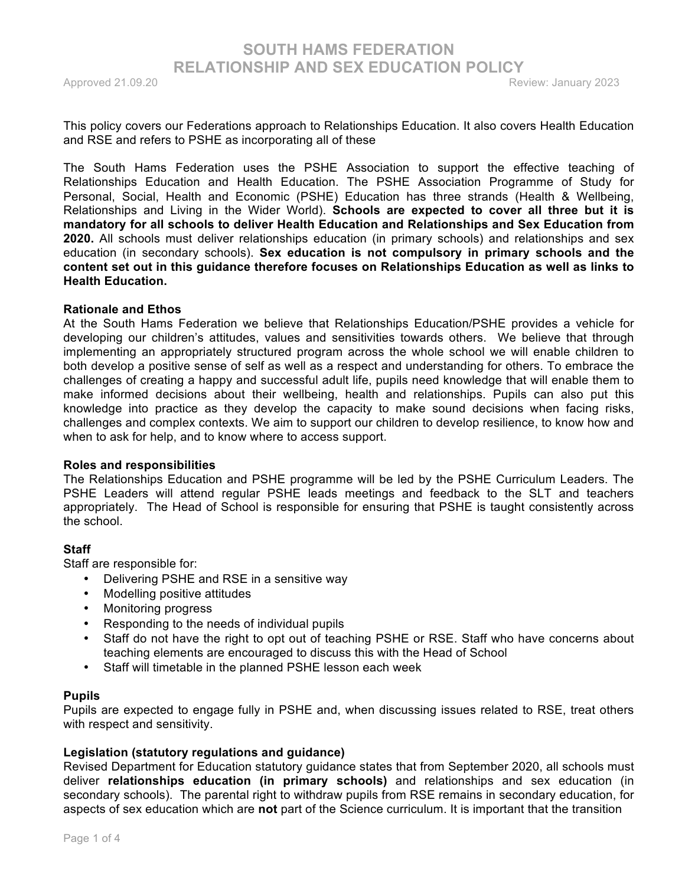This policy covers our Federations approach to Relationships Education. It also covers Health Education and RSE and refers to PSHE as incorporating all of these

The South Hams Federation uses the PSHE Association to support the effective teaching of Relationships Education and Health Education. The PSHE Association Programme of Study for Personal, Social, Health and Economic (PSHE) Education has three strands (Health & Wellbeing, Relationships and Living in the Wider World). **Schools are expected to cover all three but it is mandatory for all schools to deliver Health Education and Relationships and Sex Education from 2020.** All schools must deliver relationships education (in primary schools) and relationships and sex education (in secondary schools). **Sex education is not compulsory in primary schools and the content set out in this guidance therefore focuses on Relationships Education as well as links to Health Education.**

### **Rationale and Ethos**

At the South Hams Federation we believe that Relationships Education/PSHE provides a vehicle for developing our children's attitudes, values and sensitivities towards others. We believe that through implementing an appropriately structured program across the whole school we will enable children to both develop a positive sense of self as well as a respect and understanding for others. To embrace the challenges of creating a happy and successful adult life, pupils need knowledge that will enable them to make informed decisions about their wellbeing, health and relationships. Pupils can also put this knowledge into practice as they develop the capacity to make sound decisions when facing risks, challenges and complex contexts. We aim to support our children to develop resilience, to know how and when to ask for help, and to know where to access support.

#### **Roles and responsibilities**

The Relationships Education and PSHE programme will be led by the PSHE Curriculum Leaders. The PSHE Leaders will attend regular PSHE leads meetings and feedback to the SLT and teachers appropriately. The Head of School is responsible for ensuring that PSHE is taught consistently across the school.

### **Staff**

Staff are responsible for:

- Delivering PSHE and RSE in a sensitive way
- Modelling positive attitudes
- Monitoring progress
- Responding to the needs of individual pupils
- Staff do not have the right to opt out of teaching PSHE or RSE. Staff who have concerns about teaching elements are encouraged to discuss this with the Head of School
- Staff will timetable in the planned PSHE lesson each week

### **Pupils**

Pupils are expected to engage fully in PSHE and, when discussing issues related to RSE, treat others with respect and sensitivity.

### **Legislation (statutory regulations and guidance)**

Revised Department for Education statutory guidance states that from September 2020, all schools must deliver **relationships education (in primary schools)** and relationships and sex education (in secondary schools). The parental right to withdraw pupils from RSE remains in secondary education, for aspects of sex education which are **not** part of the Science curriculum. It is important that the transition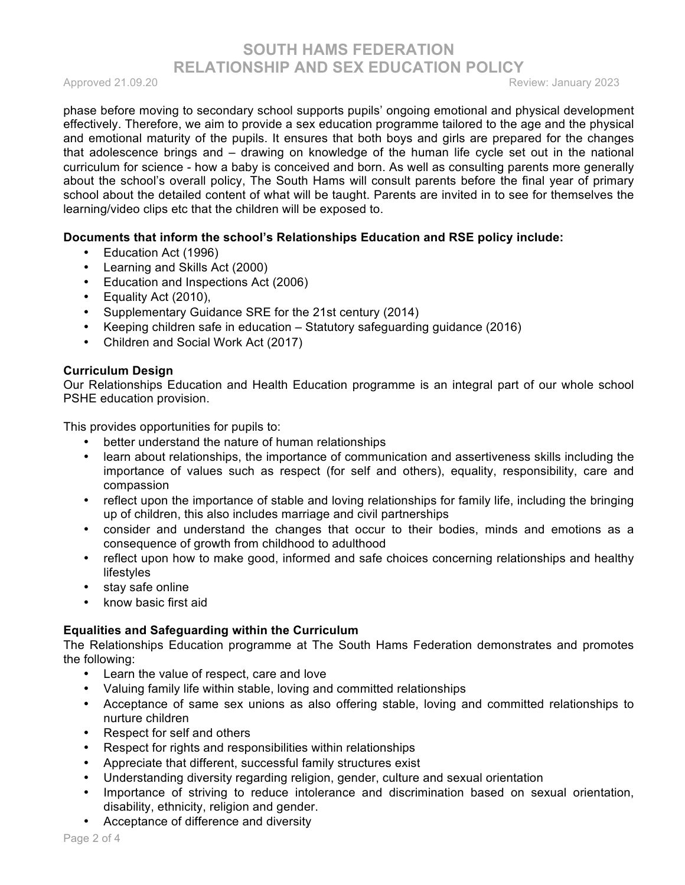Approved 21.09.20 Review: January 2023

phase before moving to secondary school supports pupils' ongoing emotional and physical development effectively. Therefore, we aim to provide a sex education programme tailored to the age and the physical and emotional maturity of the pupils. It ensures that both boys and girls are prepared for the changes that adolescence brings and – drawing on knowledge of the human life cycle set out in the national curriculum for science - how a baby is conceived and born. As well as consulting parents more generally about the school's overall policy, The South Hams will consult parents before the final year of primary school about the detailed content of what will be taught. Parents are invited in to see for themselves the learning/video clips etc that the children will be exposed to.

## **Documents that inform the school's Relationships Education and RSE policy include:**

- Education Act (1996)
- Learning and Skills Act (2000)
- Education and Inspections Act (2006)
- Equality Act (2010),
- Supplementary Guidance SRE for the 21st century (2014)
- Keeping children safe in education Statutory safeguarding guidance (2016)
- Children and Social Work Act (2017)

### **Curriculum Design**

Our Relationships Education and Health Education programme is an integral part of our whole school PSHE education provision.

This provides opportunities for pupils to:

- better understand the nature of human relationships
- learn about relationships, the importance of communication and assertiveness skills including the importance of values such as respect (for self and others), equality, responsibility, care and compassion
- reflect upon the importance of stable and loving relationships for family life, including the bringing up of children, this also includes marriage and civil partnerships
- consider and understand the changes that occur to their bodies, minds and emotions as a consequence of growth from childhood to adulthood
- reflect upon how to make good, informed and safe choices concerning relationships and healthy lifestyles
- stay safe online
- know basic first aid

# **Equalities and Safeguarding within the Curriculum**

The Relationships Education programme at The South Hams Federation demonstrates and promotes the following:

- Learn the value of respect, care and love
- Valuing family life within stable, loving and committed relationships
- Acceptance of same sex unions as also offering stable, loving and committed relationships to nurture children
- Respect for self and others
- Respect for rights and responsibilities within relationships
- Appreciate that different, successful family structures exist
- Understanding diversity regarding religion, gender, culture and sexual orientation
- Importance of striving to reduce intolerance and discrimination based on sexual orientation, disability, ethnicity, religion and gender.
- Acceptance of difference and diversity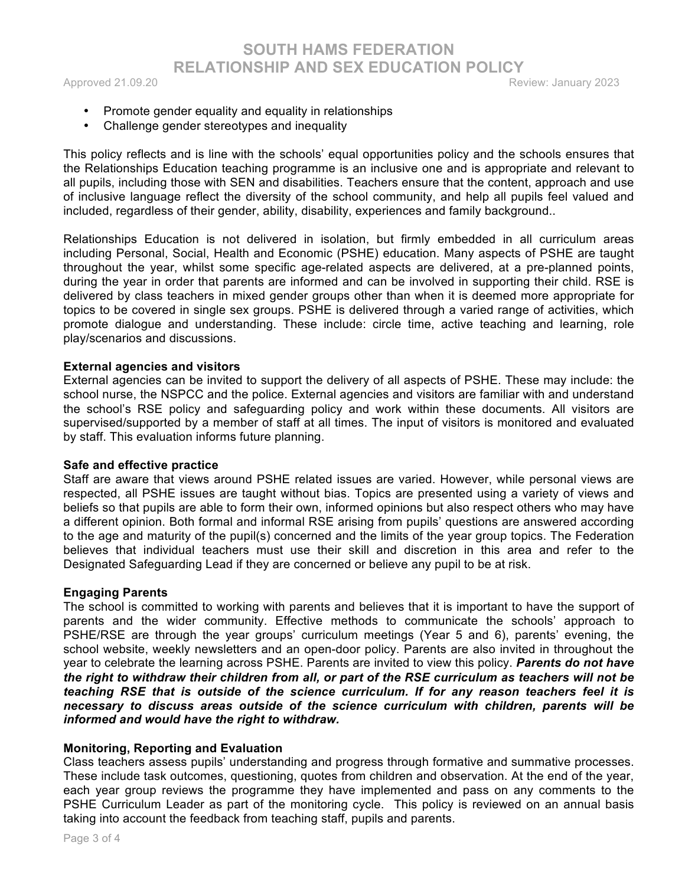**SOUTH HAMS FEDERATION RELATIONSHIP AND SEX EDUCATION POLICY**

Approved 21.09.20 **Review: January 2023** 

- Promote gender equality and equality in relationships
- Challenge gender stereotypes and inequality

This policy reflects and is line with the schools' equal opportunities policy and the schools ensures that the Relationships Education teaching programme is an inclusive one and is appropriate and relevant to all pupils, including those with SEN and disabilities. Teachers ensure that the content, approach and use of inclusive language reflect the diversity of the school community, and help all pupils feel valued and included, regardless of their gender, ability, disability, experiences and family background..

Relationships Education is not delivered in isolation, but firmly embedded in all curriculum areas including Personal, Social, Health and Economic (PSHE) education. Many aspects of PSHE are taught throughout the year, whilst some specific age-related aspects are delivered, at a pre-planned points, during the year in order that parents are informed and can be involved in supporting their child. RSE is delivered by class teachers in mixed gender groups other than when it is deemed more appropriate for topics to be covered in single sex groups. PSHE is delivered through a varied range of activities, which promote dialogue and understanding. These include: circle time, active teaching and learning, role play/scenarios and discussions.

### **External agencies and visitors**

External agencies can be invited to support the delivery of all aspects of PSHE. These may include: the school nurse, the NSPCC and the police. External agencies and visitors are familiar with and understand the school's RSE policy and safeguarding policy and work within these documents. All visitors are supervised/supported by a member of staff at all times. The input of visitors is monitored and evaluated by staff. This evaluation informs future planning.

### **Safe and effective practice**

Staff are aware that views around PSHE related issues are varied. However, while personal views are respected, all PSHE issues are taught without bias. Topics are presented using a variety of views and beliefs so that pupils are able to form their own, informed opinions but also respect others who may have a different opinion. Both formal and informal RSE arising from pupils' questions are answered according to the age and maturity of the pupil(s) concerned and the limits of the year group topics. The Federation believes that individual teachers must use their skill and discretion in this area and refer to the Designated Safeguarding Lead if they are concerned or believe any pupil to be at risk.

### **Engaging Parents**

The school is committed to working with parents and believes that it is important to have the support of parents and the wider community. Effective methods to communicate the schools' approach to PSHE/RSE are through the year groups' curriculum meetings (Year 5 and 6), parents' evening, the school website, weekly newsletters and an open-door policy. Parents are also invited in throughout the year to celebrate the learning across PSHE. Parents are invited to view this policy. *Parents do not have the right to withdraw their children from all, or part of the RSE curriculum as teachers will not be teaching RSE that is outside of the science curriculum. If for any reason teachers feel it is necessary to discuss areas outside of the science curriculum with children, parents will be informed and would have the right to withdraw.*

### **Monitoring, Reporting and Evaluation**

Class teachers assess pupils' understanding and progress through formative and summative processes. These include task outcomes, questioning, quotes from children and observation. At the end of the year, each year group reviews the programme they have implemented and pass on any comments to the PSHE Curriculum Leader as part of the monitoring cycle. This policy is reviewed on an annual basis taking into account the feedback from teaching staff, pupils and parents.